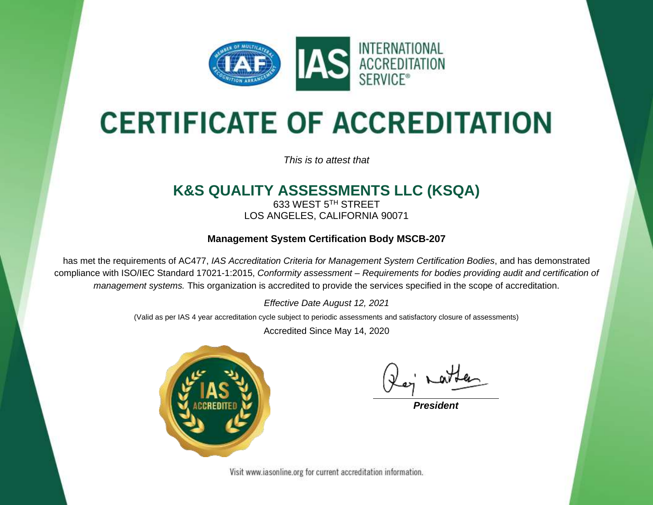

# **CERTIFICATE OF ACCREDITATION**

*This is to attest that*

### **K&S QUALITY ASSESSMENTS LLC (KSQA)**

633 WEST 5<sup>TH</sup> STREET LOS ANGELES, CALIFORNIA 90071

#### **Management System Certification Body MSCB-207**

has met the requirements of AC477, *IAS Accreditation Criteria for Management System Certification Bodies*, and has demonstrated compliance with ISO/IEC Standard 17021-1:2015, *Conformity assessment – Requirements for bodies providing audit and certification of management systems.* This organization is accredited to provide the services specified in the scope of accreditation.

*Effective Date August 12, 2021*

(Valid as per IAS 4 year accreditation cycle subject to periodic assessments and satisfactory closure of assessments)

Accredited Since May 14, 2020



*President*

Visit www.iasonline.org for current accreditation information.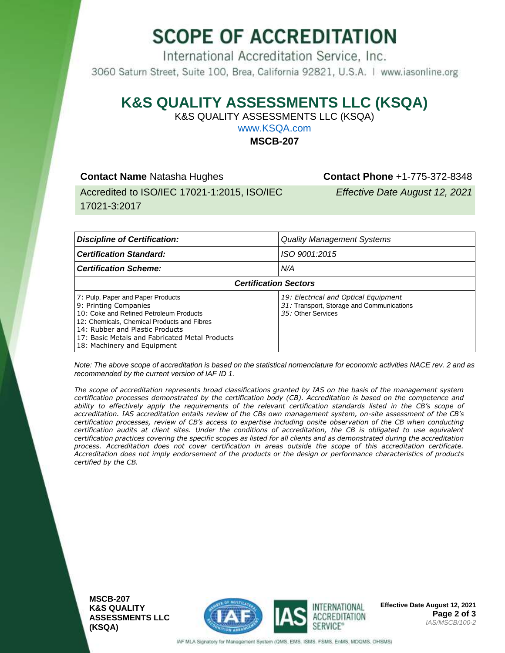## **SCOPE OF ACCREDITATION**

International Accreditation Service, Inc. 3060 Saturn Street, Suite 100, Brea, California 92821, U.S.A. | www.iasonline.org

### **K&S QUALITY ASSESSMENTS LLC (KSQA)**

K&S QUALITY ASSESSMENTS LLC (KSQA)

[www.KSQA.com](http://www.ksqa.com/) **MSCB-207**

#### **Contact Name** Natasha Hughes **Contact Phone** +1-775-372-8348

Accredited to ISO/IEC 17021-1:2015, ISO/IEC 17021-3:2017

*Effective Date August 12, 2021*

| <b>Discipline of Certification:</b>                                                                                                                                                                                                                                      | <b>Quality Management Systems</b>                                                                       |  |  |
|--------------------------------------------------------------------------------------------------------------------------------------------------------------------------------------------------------------------------------------------------------------------------|---------------------------------------------------------------------------------------------------------|--|--|
| <b>Certification Standard:</b>                                                                                                                                                                                                                                           | ISO 9001:2015                                                                                           |  |  |
| <b>Certification Scheme:</b>                                                                                                                                                                                                                                             | N/A                                                                                                     |  |  |
| <b>Certification Sectors</b>                                                                                                                                                                                                                                             |                                                                                                         |  |  |
| 7: Pulp, Paper and Paper Products<br>9: Printing Companies<br>10: Coke and Refined Petroleum Products<br>12: Chemicals, Chemical Products and Fibres<br>14: Rubber and Plastic Products<br>17: Basic Metals and Fabricated Metal Products<br>18: Machinery and Equipment | 19: Electrical and Optical Equipment<br>31: Transport, Storage and Communications<br>35: Other Services |  |  |

*Note: The above scope of accreditation is based on the statistical nomenclature for economic activities NACE rev. 2 and as recommended by the current version of IAF ID 1.*

*The scope of accreditation represents broad classifications granted by IAS on the basis of the management system certification processes demonstrated by the certification body (CB). Accreditation is based on the competence and ability to effectively apply the requirements of the relevant certification standards listed in the CB's scope of accreditation. IAS accreditation entails review of the CBs own management system, on-site assessment of the CB's certification processes, review of CB's access to expertise including onsite observation of the CB when conducting certification audits at client sites. Under the conditions of accreditation, the CB is obligated to use equivalent certification practices covering the specific scopes as listed for all clients and as demonstrated during the accreditation process. Accreditation does not cover certification in areas outside the scope of this accreditation certificate. Accreditation does not imply endorsement of the products or the design or performance characteristics of products certified by the CB.*

**MSCB-207 K&S QUALITY ASSESSMENTS LLC (KSQA)**



**Effective Date August 12, 2021 Page 2 of 3** *IAS/MSCB/100-2* 

IAF MLA Signatory for Management System (QMS, EMS, ISMS, FSMS, EnMS, MDQMS, OHSMS)